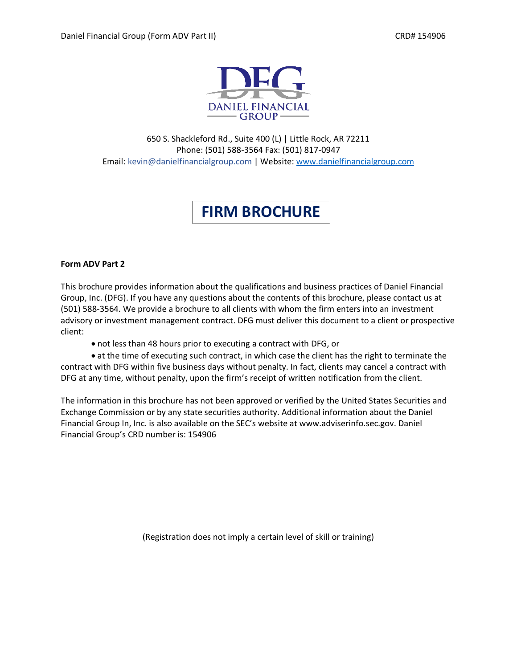

650 S. Shackleford Rd., Suite 400 (L) | Little Rock, AR 72211 Phone: (501) 588-3564 Fax: (501) 817-0947 Email: kevin@danielfinancialgroup.com | Website: www.danielfinancialgroup.com

# **FIRM BROCHURE**

## **Form ADV Part 2**

This brochure provides information about the qualifications and business practices of Daniel Financial Group, Inc. (DFG). If you have any questions about the contents of this brochure, please contact us at (501) 588-3564. We provide a brochure to all clients with whom the firm enters into an investment advisory or investment management contract. DFG must deliver this document to a client or prospective client:

• not less than 48 hours prior to executing a contract with DFG, or

• at the time of executing such contract, in which case the client has the right to terminate the contract with DFG within five business days without penalty. In fact, clients may cancel a contract with DFG at any time, without penalty, upon the firm's receipt of written notification from the client.

The information in this brochure has not been approved or verified by the United States Securities and Exchange Commission or by any state securities authority. Additional information about the Daniel Financial Group In, Inc. is also available on the SEC's website at www.adviserinfo.sec.gov. Daniel Financial Group's CRD number is: 154906

(Registration does not imply a certain level of skill or training)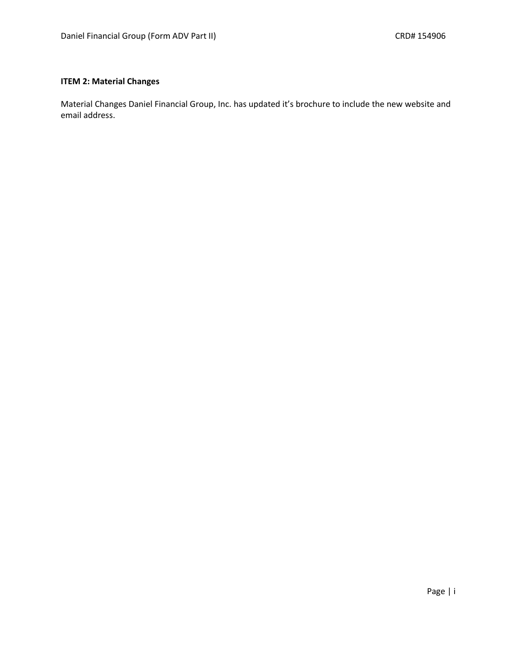## **ITEM 2: Material Changes**

Material Changes Daniel Financial Group, Inc. has updated it's brochure to include the new website and email address.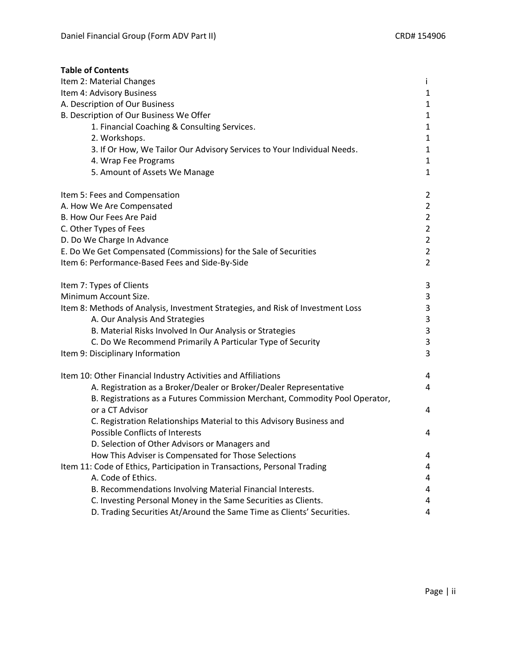| <b>Table of Contents</b>                                                        |                |
|---------------------------------------------------------------------------------|----------------|
| Item 2: Material Changes                                                        | Ť              |
| Item 4: Advisory Business                                                       | $\mathbf{1}$   |
| A. Description of Our Business                                                  | $\mathbf{1}$   |
| B. Description of Our Business We Offer                                         | $\mathbf{1}$   |
| 1. Financial Coaching & Consulting Services.                                    | $\mathbf{1}$   |
| 2. Workshops.                                                                   | $\mathbf{1}$   |
| 3. If Or How, We Tailor Our Advisory Services to Your Individual Needs.         | 1              |
| 4. Wrap Fee Programs                                                            | $\mathbf{1}$   |
| 5. Amount of Assets We Manage                                                   | 1              |
| Item 5: Fees and Compensation                                                   | 2              |
| A. How We Are Compensated                                                       | $\overline{2}$ |
| B. How Our Fees Are Paid                                                        | $\overline{2}$ |
| C. Other Types of Fees                                                          | $\overline{2}$ |
| D. Do We Charge In Advance                                                      | $\overline{2}$ |
| E. Do We Get Compensated (Commissions) for the Sale of Securities               | $\overline{2}$ |
| Item 6: Performance-Based Fees and Side-By-Side                                 | $\overline{2}$ |
| Item 7: Types of Clients                                                        | 3              |
| Minimum Account Size.                                                           | 3              |
| Item 8: Methods of Analysis, Investment Strategies, and Risk of Investment Loss | 3              |
| A. Our Analysis And Strategies                                                  | 3              |
| B. Material Risks Involved In Our Analysis or Strategies                        | 3              |
| C. Do We Recommend Primarily A Particular Type of Security                      | 3              |
| Item 9: Disciplinary Information                                                | 3              |
| Item 10: Other Financial Industry Activities and Affiliations                   | 4              |
| A. Registration as a Broker/Dealer or Broker/Dealer Representative              | 4              |
| B. Registrations as a Futures Commission Merchant, Commodity Pool Operator,     |                |
| or a CT Advisor                                                                 | 4              |
| C. Registration Relationships Material to this Advisory Business and            |                |
| Possible Conflicts of Interests                                                 | 4              |
| D. Selection of Other Advisors or Managers and                                  |                |
| How This Adviser is Compensated for Those Selections                            | 4              |
| Item 11: Code of Ethics, Participation in Transactions, Personal Trading        | 4              |
| A. Code of Ethics.                                                              | 4              |
| B. Recommendations Involving Material Financial Interests.                      | 4              |
| C. Investing Personal Money in the Same Securities as Clients.                  | 4              |
| D. Trading Securities At/Around the Same Time as Clients' Securities.           | 4              |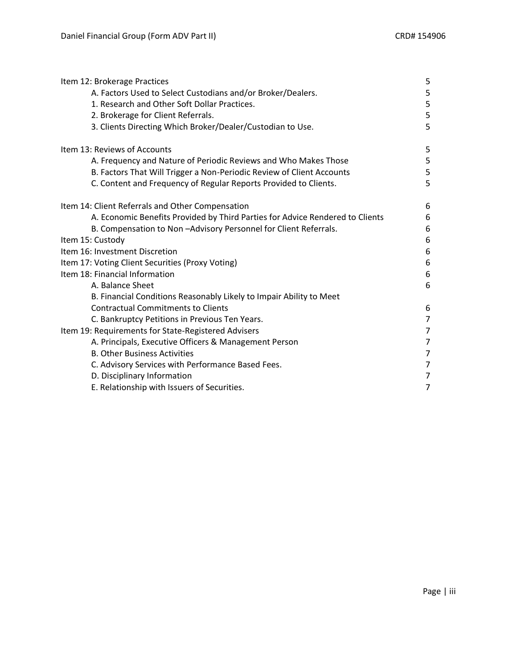| Item 12: Brokerage Practices                                                  | 5              |
|-------------------------------------------------------------------------------|----------------|
| A. Factors Used to Select Custodians and/or Broker/Dealers.                   | 5              |
| 1. Research and Other Soft Dollar Practices.                                  | 5              |
| 2. Brokerage for Client Referrals.                                            | 5              |
| 3. Clients Directing Which Broker/Dealer/Custodian to Use.                    | 5              |
| Item 13: Reviews of Accounts                                                  | 5              |
| A. Frequency and Nature of Periodic Reviews and Who Makes Those               | 5              |
| B. Factors That Will Trigger a Non-Periodic Review of Client Accounts         | 5              |
| C. Content and Frequency of Regular Reports Provided to Clients.              | 5              |
| Item 14: Client Referrals and Other Compensation                              | 6              |
| A. Economic Benefits Provided by Third Parties for Advice Rendered to Clients | 6              |
| B. Compensation to Non-Advisory Personnel for Client Referrals.               | 6              |
| Item 15: Custody                                                              | 6              |
| Item 16: Investment Discretion                                                | 6              |
| Item 17: Voting Client Securities (Proxy Voting)                              | 6              |
| Item 18: Financial Information                                                | 6              |
| A. Balance Sheet                                                              | 6              |
| B. Financial Conditions Reasonably Likely to Impair Ability to Meet           |                |
| <b>Contractual Commitments to Clients</b>                                     | 6              |
| C. Bankruptcy Petitions in Previous Ten Years.                                | $\overline{7}$ |
| Item 19: Requirements for State-Registered Advisers                           | 7              |
| A. Principals, Executive Officers & Management Person                         | 7              |
| <b>B. Other Business Activities</b>                                           | 7              |
| C. Advisory Services with Performance Based Fees.                             | 7              |
| D. Disciplinary Information                                                   | 7              |
| E. Relationship with Issuers of Securities.                                   | 7              |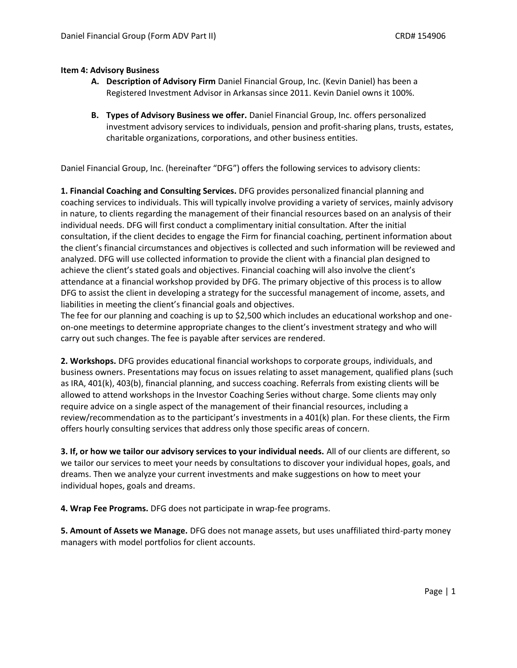## **Item 4: Advisory Business**

- **A. Description of Advisory Firm** Daniel Financial Group, Inc. (Kevin Daniel) has been a Registered Investment Advisor in Arkansas since 2011. Kevin Daniel owns it 100%.
- **B. Types of Advisory Business we offer.** Daniel Financial Group, Inc. offers personalized investment advisory services to individuals, pension and profit-sharing plans, trusts, estates, charitable organizations, corporations, and other business entities.

Daniel Financial Group, Inc. (hereinafter "DFG") offers the following services to advisory clients:

**1. Financial Coaching and Consulting Services.** DFG provides personalized financial planning and coaching services to individuals. This will typically involve providing a variety of services, mainly advisory in nature, to clients regarding the management of their financial resources based on an analysis of their individual needs. DFG will first conduct a complimentary initial consultation. After the initial consultation, if the client decides to engage the Firm for financial coaching, pertinent information about the client's financial circumstances and objectives is collected and such information will be reviewed and analyzed. DFG will use collected information to provide the client with a financial plan designed to achieve the client's stated goals and objectives. Financial coaching will also involve the client's attendance at a financial workshop provided by DFG. The primary objective of this process is to allow DFG to assist the client in developing a strategy for the successful management of income, assets, and liabilities in meeting the client's financial goals and objectives.

The fee for our planning and coaching is up to \$2,500 which includes an educational workshop and oneon-one meetings to determine appropriate changes to the client's investment strategy and who will carry out such changes. The fee is payable after services are rendered.

**2. Workshops.** DFG provides educational financial workshops to corporate groups, individuals, and business owners. Presentations may focus on issues relating to asset management, qualified plans (such as IRA, 401(k), 403(b), financial planning, and success coaching. Referrals from existing clients will be allowed to attend workshops in the Investor Coaching Series without charge. Some clients may only require advice on a single aspect of the management of their financial resources, including a review/recommendation as to the participant's investments in a 401(k) plan. For these clients, the Firm offers hourly consulting services that address only those specific areas of concern.

**3. If, or how we tailor our advisory services to your individual needs.** All of our clients are different, so we tailor our services to meet your needs by consultations to discover your individual hopes, goals, and dreams. Then we analyze your current investments and make suggestions on how to meet your individual hopes, goals and dreams.

**4. Wrap Fee Programs.** DFG does not participate in wrap-fee programs.

**5. Amount of Assets we Manage.** DFG does not manage assets, but uses unaffiliated third-party money managers with model portfolios for client accounts.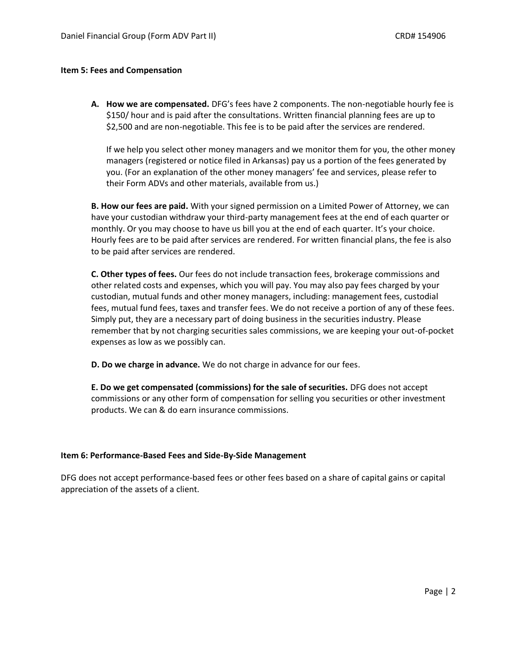#### **Item 5: Fees and Compensation**

**A. How we are compensated.** DFG's fees have 2 components. The non-negotiable hourly fee is \$150/ hour and is paid after the consultations. Written financial planning fees are up to \$2,500 and are non-negotiable. This fee is to be paid after the services are rendered.

If we help you select other money managers and we monitor them for you, the other money managers (registered or notice filed in Arkansas) pay us a portion of the fees generated by you. (For an explanation of the other money managers' fee and services, please refer to their Form ADVs and other materials, available from us.)

**B. How our fees are paid.** With your signed permission on a Limited Power of Attorney, we can have your custodian withdraw your third-party management fees at the end of each quarter or monthly. Or you may choose to have us bill you at the end of each quarter. It's your choice. Hourly fees are to be paid after services are rendered. For written financial plans, the fee is also to be paid after services are rendered.

**C. Other types of fees.** Our fees do not include transaction fees, brokerage commissions and other related costs and expenses, which you will pay. You may also pay fees charged by your custodian, mutual funds and other money managers, including: management fees, custodial fees, mutual fund fees, taxes and transfer fees. We do not receive a portion of any of these fees. Simply put, they are a necessary part of doing business in the securities industry. Please remember that by not charging securities sales commissions, we are keeping your out-of-pocket expenses as low as we possibly can.

**D. Do we charge in advance.** We do not charge in advance for our fees.

**E. Do we get compensated (commissions) for the sale of securities.** DFG does not accept commissions or any other form of compensation for selling you securities or other investment products. We can & do earn insurance commissions.

### **Item 6: Performance-Based Fees and Side-By-Side Management**

DFG does not accept performance-based fees or other fees based on a share of capital gains or capital appreciation of the assets of a client.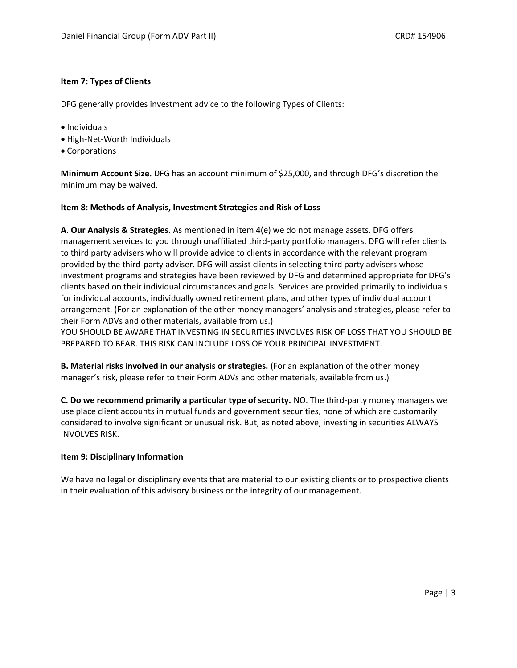## **Item 7: Types of Clients**

DFG generally provides investment advice to the following Types of Clients:

- Individuals
- High-Net-Worth Individuals
- Corporations

**Minimum Account Size.** DFG has an account minimum of \$25,000, and through DFG's discretion the minimum may be waived.

## **Item 8: Methods of Analysis, Investment Strategies and Risk of Loss**

**A. Our Analysis & Strategies.** As mentioned in item 4(e) we do not manage assets. DFG offers management services to you through unaffiliated third-party portfolio managers. DFG will refer clients to third party advisers who will provide advice to clients in accordance with the relevant program provided by the third-party adviser. DFG will assist clients in selecting third party advisers whose investment programs and strategies have been reviewed by DFG and determined appropriate for DFG's clients based on their individual circumstances and goals. Services are provided primarily to individuals for individual accounts, individually owned retirement plans, and other types of individual account arrangement. (For an explanation of the other money managers' analysis and strategies, please refer to their Form ADVs and other materials, available from us.)

YOU SHOULD BE AWARE THAT INVESTING IN SECURITIES INVOLVES RISK OF LOSS THAT YOU SHOULD BE PREPARED TO BEAR. THIS RISK CAN INCLUDE LOSS OF YOUR PRINCIPAL INVESTMENT.

**B. Material risks involved in our analysis or strategies.** (For an explanation of the other money manager's risk, please refer to their Form ADVs and other materials, available from us.)

**C. Do we recommend primarily a particular type of security.** NO. The third-party money managers we use place client accounts in mutual funds and government securities, none of which are customarily considered to involve significant or unusual risk. But, as noted above, investing in securities ALWAYS INVOLVES RISK.

## **Item 9: Disciplinary Information**

We have no legal or disciplinary events that are material to our existing clients or to prospective clients in their evaluation of this advisory business or the integrity of our management.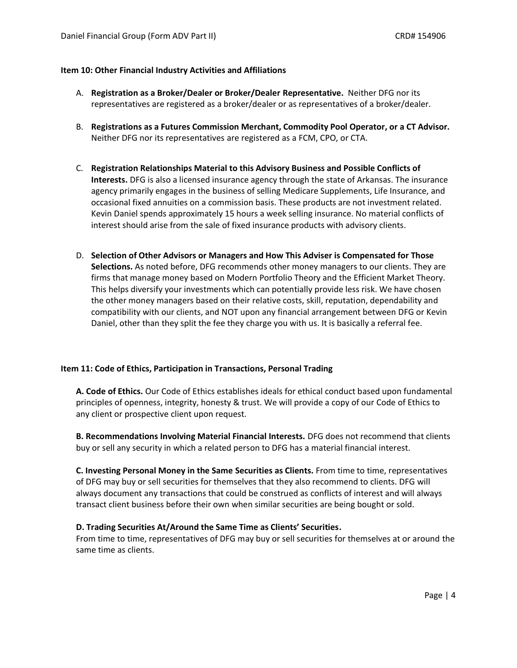### **Item 10: Other Financial Industry Activities and Affiliations**

- A. **Registration as a Broker/Dealer or Broker/Dealer Representative.** Neither DFG nor its representatives are registered as a broker/dealer or as representatives of a broker/dealer.
- B. **Registrations as a Futures Commission Merchant, Commodity Pool Operator, or a CT Advisor.** Neither DFG nor its representatives are registered as a FCM, CPO, or CTA.
- C. **Registration Relationships Material to this Advisory Business and Possible Conflicts of Interests.** DFG is also a licensed insurance agency through the state of Arkansas. The insurance agency primarily engages in the business of selling Medicare Supplements, Life Insurance, and occasional fixed annuities on a commission basis. These products are not investment related. Kevin Daniel spends approximately 15 hours a week selling insurance. No material conflicts of interest should arise from the sale of fixed insurance products with advisory clients.
- D. **Selection of Other Advisors or Managers and How This Adviser is Compensated for Those Selections.** As noted before, DFG recommends other money managers to our clients. They are firms that manage money based on Modern Portfolio Theory and the Efficient Market Theory. This helps diversify your investments which can potentially provide less risk. We have chosen the other money managers based on their relative costs, skill, reputation, dependability and compatibility with our clients, and NOT upon any financial arrangement between DFG or Kevin Daniel, other than they split the fee they charge you with us. It is basically a referral fee.

## **Item 11: Code of Ethics, Participation in Transactions, Personal Trading**

**A. Code of Ethics.** Our Code of Ethics establishes ideals for ethical conduct based upon fundamental principles of openness, integrity, honesty & trust. We will provide a copy of our Code of Ethics to any client or prospective client upon request.

**B. Recommendations Involving Material Financial Interests.** DFG does not recommend that clients buy or sell any security in which a related person to DFG has a material financial interest.

**C. Investing Personal Money in the Same Securities as Clients.** From time to time, representatives of DFG may buy or sell securities for themselves that they also recommend to clients. DFG will always document any transactions that could be construed as conflicts of interest and will always transact client business before their own when similar securities are being bought or sold.

## **D. Trading Securities At/Around the Same Time as Clients' Securities.**

From time to time, representatives of DFG may buy or sell securities for themselves at or around the same time as clients.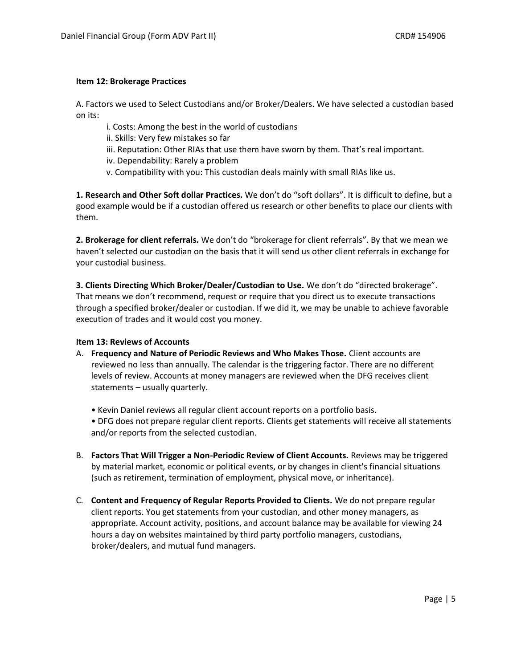## **Item 12: Brokerage Practices**

A. Factors we used to Select Custodians and/or Broker/Dealers. We have selected a custodian based on its:

- i. Costs: Among the best in the world of custodians
- ii. Skills: Very few mistakes so far
- iii. Reputation: Other RIAs that use them have sworn by them. That's real important.
- iv. Dependability: Rarely a problem
- v. Compatibility with you: This custodian deals mainly with small RIAs like us.

**1. Research and Other Soft dollar Practices.** We don't do "soft dollars". It is difficult to define, but a good example would be if a custodian offered us research or other benefits to place our clients with them.

**2. Brokerage for client referrals.** We don't do "brokerage for client referrals". By that we mean we haven't selected our custodian on the basis that it will send us other client referrals in exchange for your custodial business.

**3. Clients Directing Which Broker/Dealer/Custodian to Use.** We don't do "directed brokerage". That means we don't recommend, request or require that you direct us to execute transactions through a specified broker/dealer or custodian. If we did it, we may be unable to achieve favorable execution of trades and it would cost you money.

## **Item 13: Reviews of Accounts**

- A. **Frequency and Nature of Periodic Reviews and Who Makes Those.** Client accounts are reviewed no less than annually. The calendar is the triggering factor. There are no different levels of review. Accounts at money managers are reviewed when the DFG receives client statements – usually quarterly.
	- Kevin Daniel reviews all regular client account reports on a portfolio basis.
	- DFG does not prepare regular client reports. Clients get statements will receive all statements and/or reports from the selected custodian.
- B. **Factors That Will Trigger a Non-Periodic Review of Client Accounts.** Reviews may be triggered by material market, economic or political events, or by changes in client's financial situations (such as retirement, termination of employment, physical move, or inheritance).
- C. **Content and Frequency of Regular Reports Provided to Clients.** We do not prepare regular client reports. You get statements from your custodian, and other money managers, as appropriate. Account activity, positions, and account balance may be available for viewing 24 hours a day on websites maintained by third party portfolio managers, custodians, broker/dealers, and mutual fund managers.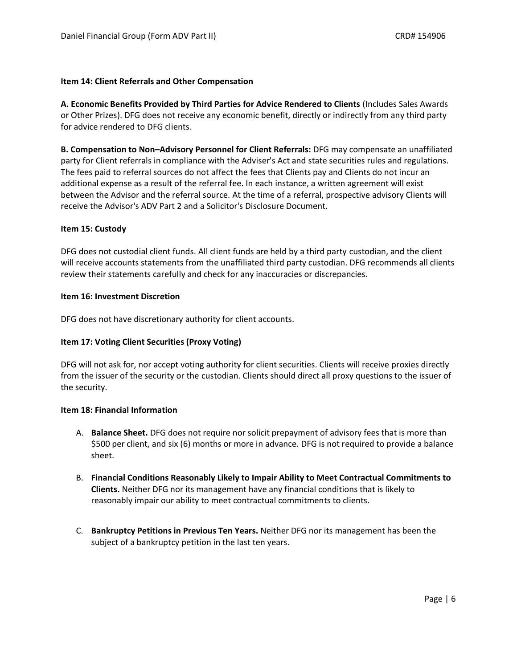### **Item 14: Client Referrals and Other Compensation**

**A. Economic Benefits Provided by Third Parties for Advice Rendered to Clients** (Includes Sales Awards or Other Prizes). DFG does not receive any economic benefit, directly or indirectly from any third party for advice rendered to DFG clients.

**B. Compensation to Non–Advisory Personnel for Client Referrals:** DFG may compensate an unaffiliated party for Client referrals in compliance with the Adviser's Act and state securities rules and regulations. The fees paid to referral sources do not affect the fees that Clients pay and Clients do not incur an additional expense as a result of the referral fee. In each instance, a written agreement will exist between the Advisor and the referral source. At the time of a referral, prospective advisory Clients will receive the Advisor's ADV Part 2 and a Solicitor's Disclosure Document.

## **Item 15: Custody**

DFG does not custodial client funds. All client funds are held by a third party custodian, and the client will receive accounts statements from the unaffiliated third party custodian. DFG recommends all clients review their statements carefully and check for any inaccuracies or discrepancies.

### **Item 16: Investment Discretion**

DFG does not have discretionary authority for client accounts.

## **Item 17: Voting Client Securities (Proxy Voting)**

DFG will not ask for, nor accept voting authority for client securities. Clients will receive proxies directly from the issuer of the security or the custodian. Clients should direct all proxy questions to the issuer of the security.

### **Item 18: Financial Information**

- A. **Balance Sheet.** DFG does not require nor solicit prepayment of advisory fees that is more than \$500 per client, and six (6) months or more in advance. DFG is not required to provide a balance sheet.
- B. **Financial Conditions Reasonably Likely to Impair Ability to Meet Contractual Commitments to Clients.** Neither DFG nor its management have any financial conditions that is likely to reasonably impair our ability to meet contractual commitments to clients.
- C. **Bankruptcy Petitions in Previous Ten Years.** Neither DFG nor its management has been the subject of a bankruptcy petition in the last ten years.